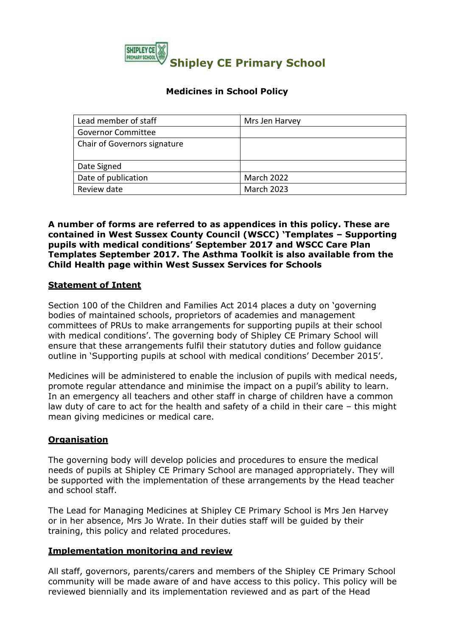

## **Medicines in School Policy**

| Lead member of staff         | Mrs Jen Harvey    |
|------------------------------|-------------------|
| <b>Governor Committee</b>    |                   |
| Chair of Governors signature |                   |
|                              |                   |
| Date Signed                  |                   |
| Date of publication          | <b>March 2022</b> |
| Review date                  | <b>March 2023</b> |

#### **A number of forms are referred to as appendices in this policy. These are contained in West Sussex County Council (WSCC) 'Templates – Supporting pupils with medical conditions' September 2017 and WSCC Care Plan Templates September 2017. The Asthma Toolkit is also available from the Child Health page within West Sussex Services for Schools**

#### **Statement of Intent**

Section 100 of the Children and Families Act 2014 places a duty on 'governing bodies of maintained schools, proprietors of academies and management committees of PRUs to make arrangements for supporting pupils at their school with medical conditions'. The governing body of Shipley CE Primary School will ensure that these arrangements fulfil their statutory duties and follow guidance outline in 'Supporting pupils at school with medical conditions' December 2015'.

Medicines will be administered to enable the inclusion of pupils with medical needs, promote regular attendance and minimise the impact on a pupil's ability to learn. In an emergency all teachers and other staff in charge of children have a common law duty of care to act for the health and safety of a child in their care – this might mean giving medicines or medical care.

## **Organisation**

The governing body will develop policies and procedures to ensure the medical needs of pupils at Shipley CE Primary School are managed appropriately. They will be supported with the implementation of these arrangements by the Head teacher and school staff.

The Lead for Managing Medicines at Shipley CE Primary School is Mrs Jen Harvey or in her absence, Mrs Jo Wrate. In their duties staff will be guided by their training, this policy and related procedures.

#### **Implementation monitoring and review**

All staff, governors, parents/carers and members of the Shipley CE Primary School community will be made aware of and have access to this policy. This policy will be reviewed biennially and its implementation reviewed and as part of the Head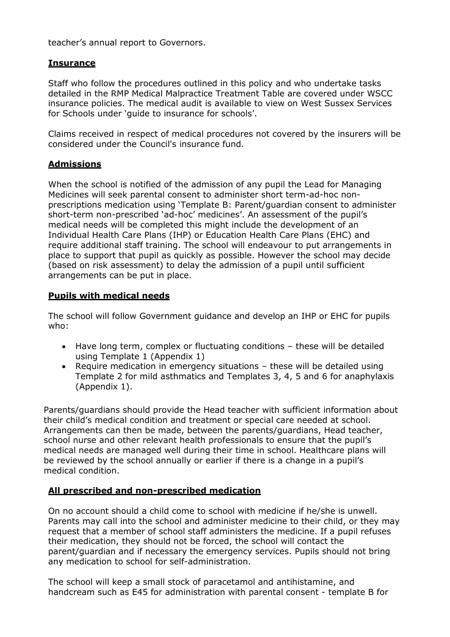teacher's annual report to Governors.

## **Insurance**

Staff who follow the procedures outlined in this policy and who undertake tasks detailed in the RMP Medical Malpractice Treatment Table are covered under WSCC insurance policies. The medical audit is available to view on West Sussex Services for Schools under 'guide to insurance for schools'.

Claims received in respect of medical procedures not covered by the insurers will be considered under the Council's insurance fund.

## **Admissions**

When the school is notified of the admission of any pupil the Lead for Managing Medicines will seek parental consent to administer short term-ad-hoc nonprescriptions medication using 'Template B: Parent/guardian consent to administer short-term non-prescribed 'ad-hoc' medicines'. An assessment of the pupil's medical needs will be completed this might include the development of an Individual Health Care Plans (IHP) or Education Health Care Plans (EHC) and require additional staff training. The school will endeavour to put arrangements in place to support that pupil as quickly as possible. However the school may decide (based on risk assessment) to delay the admission of a pupil until sufficient arrangements can be put in place.

#### **Pupils with medical needs**

The school will follow Government guidance and develop an IHP or EHC for pupils who:

- Have long term, complex or fluctuating conditions these will be detailed using Template 1 (Appendix 1)
- Require medication in emergency situations these will be detailed using Template 2 for mild asthmatics and Templates 3, 4, 5 and 6 for anaphylaxis (Appendix 1).

Parents/guardians should provide the Head teacher with sufficient information about their child's medical condition and treatment or special care needed at school. Arrangements can then be made, between the parents/guardians, Head teacher, school nurse and other relevant health professionals to ensure that the pupil's medical needs are managed well during their time in school. Healthcare plans will be reviewed by the school annually or earlier if there is a change in a pupil's medical condition.

## **All prescribed and non-prescribed medication**

On no account should a child come to school with medicine if he/she is unwell. Parents may call into the school and administer medicine to their child, or they may request that a member of school staff administers the medicine. If a pupil refuses their medication, they should not be forced, the school will contact the parent/guardian and if necessary the emergency services. Pupils should not bring any medication to school for self-administration.

The school will keep a small stock of paracetamol and antihistamine, and handcream such as E45 for administration with parental consent - template B for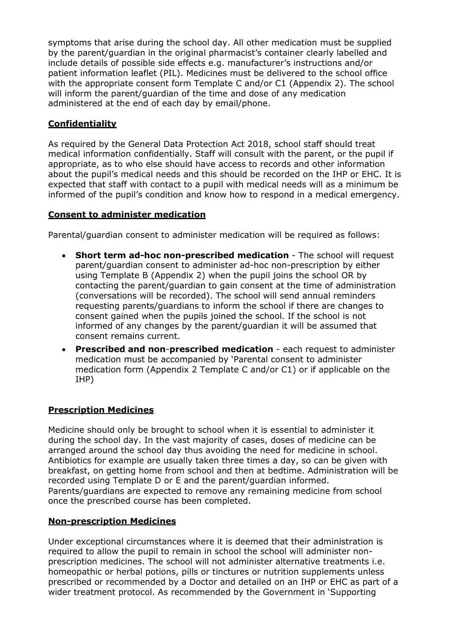symptoms that arise during the school day. All other medication must be supplied by the parent/guardian in the original pharmacist's container clearly labelled and include details of possible side effects e.g. manufacturer's instructions and/or patient information leaflet (PIL). Medicines must be delivered to the school office with the appropriate consent form Template C and/or C1 (Appendix 2). The school will inform the parent/guardian of the time and dose of any medication administered at the end of each day by email/phone.

# **Confidentiality**

As required by the General Data Protection Act 2018, school staff should treat medical information confidentially. Staff will consult with the parent, or the pupil if appropriate, as to who else should have access to records and other information about the pupil's medical needs and this should be recorded on the IHP or EHC. It is expected that staff with contact to a pupil with medical needs will as a minimum be informed of the pupil's condition and know how to respond in a medical emergency.

## **Consent to administer medication**

Parental/guardian consent to administer medication will be required as follows:

- **Short term ad-hoc non-prescribed medication** The school will request parent/guardian consent to administer ad-hoc non-prescription by either using Template B (Appendix 2) when the pupil joins the school OR by contacting the parent/guardian to gain consent at the time of administration (conversations will be recorded). The school will send annual reminders requesting parents/guardians to inform the school if there are changes to consent gained when the pupils joined the school. If the school is not informed of any changes by the parent/guardian it will be assumed that consent remains current.
- **Prescribed and non**-**prescribed medication**  each request to administer medication must be accompanied by 'Parental consent to administer medication form (Appendix 2 Template C and/or C1) or if applicable on the IHP)

## **Prescription Medicines**

Medicine should only be brought to school when it is essential to administer it during the school day. In the vast majority of cases, doses of medicine can be arranged around the school day thus avoiding the need for medicine in school. Antibiotics for example are usually taken three times a day, so can be given with breakfast, on getting home from school and then at bedtime. Administration will be recorded using Template D or E and the parent/guardian informed. Parents/guardians are expected to remove any remaining medicine from school once the prescribed course has been completed.

## **Non-prescription Medicines**

Under exceptional circumstances where it is deemed that their administration is required to allow the pupil to remain in school the school will administer nonprescription medicines. The school will not administer alternative treatments i.e. homeopathic or herbal potions, pills or tinctures or nutrition supplements unless prescribed or recommended by a Doctor and detailed on an IHP or EHC as part of a wider treatment protocol. As recommended by the Government in 'Supporting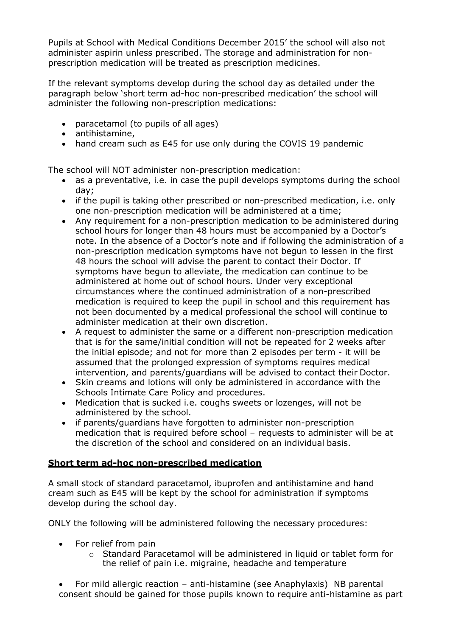Pupils at School with Medical Conditions December 2015' the school will also not administer aspirin unless prescribed. The storage and administration for nonprescription medication will be treated as prescription medicines.

If the relevant symptoms develop during the school day as detailed under the paragraph below 'short term ad-hoc non-prescribed medication' the school will administer the following non-prescription medications:

- paracetamol (to pupils of all ages)
- antihistamine,
- hand cream such as E45 for use only during the COVIS 19 pandemic

The school will NOT administer non-prescription medication:

- as a preventative, i.e. in case the pupil develops symptoms during the school day;
- if the pupil is taking other prescribed or non-prescribed medication, i.e. only one non-prescription medication will be administered at a time;
- Any requirement for a non-prescription medication to be administered during school hours for longer than 48 hours must be accompanied by a Doctor's note. In the absence of a Doctor's note and if following the administration of a non-prescription medication symptoms have not begun to lessen in the first 48 hours the school will advise the parent to contact their Doctor. If symptoms have begun to alleviate, the medication can continue to be administered at home out of school hours. Under very exceptional circumstances where the continued administration of a non-prescribed medication is required to keep the pupil in school and this requirement has not been documented by a medical professional the school will continue to administer medication at their own discretion.
- A request to administer the same or a different non-prescription medication that is for the same/initial condition will not be repeated for 2 weeks after the initial episode; and not for more than 2 episodes per term - it will be assumed that the prolonged expression of symptoms requires medical intervention, and parents/guardians will be advised to contact their Doctor.
- Skin creams and lotions will only be administered in accordance with the Schools Intimate Care Policy and procedures.
- Medication that is sucked i.e. coughs sweets or lozenges, will not be administered by the school.
- if parents/guardians have forgotten to administer non-prescription medication that is required before school – requests to administer will be at the discretion of the school and considered on an individual basis.

## **Short term ad-hoc non-prescribed medication**

A small stock of standard paracetamol, ibuprofen and antihistamine and hand cream such as E45 will be kept by the school for administration if symptoms develop during the school day.

ONLY the following will be administered following the necessary procedures:

- For relief from pain
	- $\circ$  Standard Paracetamol will be administered in liquid or tablet form for the relief of pain i.e. migraine, headache and temperature
- For mild allergic reaction anti-histamine (see Anaphylaxis) NB parental consent should be gained for those pupils known to require anti-histamine as part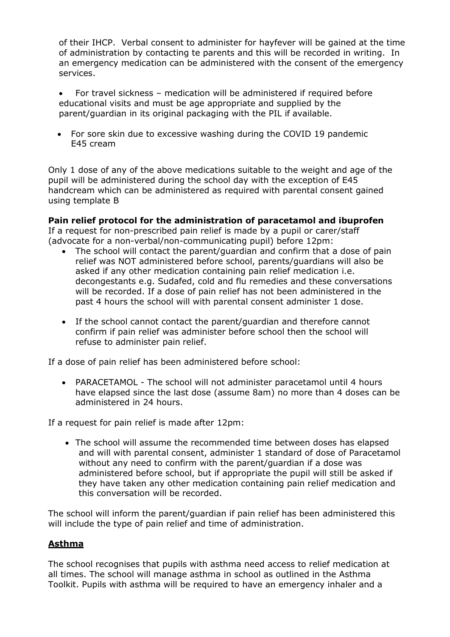of their IHCP. Verbal consent to administer for hayfever will be gained at the time of administration by contacting te parents and this will be recorded in writing. In an emergency medication can be administered with the consent of the emergency services.

 For travel sickness – medication will be administered if required before educational visits and must be age appropriate and supplied by the parent/guardian in its original packaging with the PIL if available.

 For sore skin due to excessive washing during the COVID 19 pandemic E45 cream

Only 1 dose of any of the above medications suitable to the weight and age of the pupil will be administered during the school day with the exception of E45 handcream which can be administered as required with parental consent gained using template B

## **Pain relief protocol for the administration of paracetamol and ibuprofen**

If a request for non-prescribed pain relief is made by a pupil or carer/staff (advocate for a non-verbal/non-communicating pupil) before 12pm:

- The school will contact the parent/guardian and confirm that a dose of pain relief was NOT administered before school, parents/guardians will also be asked if any other medication containing pain relief medication i.e. decongestants e.g. Sudafed, cold and flu remedies and these conversations will be recorded. If a dose of pain relief has not been administered in the past 4 hours the school will with parental consent administer 1 dose.
- If the school cannot contact the parent/guardian and therefore cannot confirm if pain relief was administer before school then the school will refuse to administer pain relief.

If a dose of pain relief has been administered before school:

 PARACETAMOL - The school will not administer paracetamol until 4 hours have elapsed since the last dose (assume 8am) no more than 4 doses can be administered in 24 hours.

If a request for pain relief is made after 12pm:

 The school will assume the recommended time between doses has elapsed and will with parental consent, administer 1 standard of dose of Paracetamol without any need to confirm with the parent/guardian if a dose was administered before school, but if appropriate the pupil will still be asked if they have taken any other medication containing pain relief medication and this conversation will be recorded.

The school will inform the parent/guardian if pain relief has been administered this will include the type of pain relief and time of administration.

## **Asthma**

The school recognises that pupils with asthma need access to relief medication at all times. The school will manage asthma in school as outlined in the Asthma Toolkit. Pupils with asthma will be required to have an emergency inhaler and a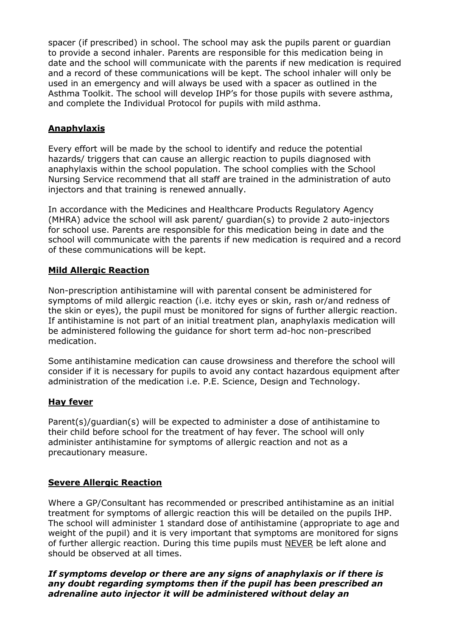spacer (if prescribed) in school. The school may ask the pupils parent or guardian to provide a second inhaler. Parents are responsible for this medication being in date and the school will communicate with the parents if new medication is required and a record of these communications will be kept. The school inhaler will only be used in an emergency and will always be used with a spacer as outlined in the Asthma Toolkit. The school will develop IHP's for those pupils with severe asthma, and complete the Individual Protocol for pupils with mild asthma.

## **Anaphylaxis**

Every effort will be made by the school to identify and reduce the potential hazards/ triggers that can cause an allergic reaction to pupils diagnosed with anaphylaxis within the school population. The school complies with the School Nursing Service recommend that all staff are trained in the administration of auto injectors and that training is renewed annually.

In accordance with the Medicines and Healthcare Products Regulatory Agency (MHRA) advice the school will ask parent/ guardian(s) to provide 2 auto-injectors for school use. Parents are responsible for this medication being in date and the school will communicate with the parents if new medication is required and a record of these communications will be kept.

## **Mild Allergic Reaction**

Non-prescription antihistamine will with parental consent be administered for symptoms of mild allergic reaction (i.e. itchy eyes or skin, rash or/and redness of the skin or eyes), the pupil must be monitored for signs of further allergic reaction. If antihistamine is not part of an initial treatment plan, anaphylaxis medication will be administered following the guidance for short term ad-hoc non-prescribed medication.

Some antihistamine medication can cause drowsiness and therefore the school will consider if it is necessary for pupils to avoid any contact hazardous equipment after administration of the medication i.e. P.E. Science, Design and Technology.

## **Hay fever**

Parent(s)/guardian(s) will be expected to administer a dose of antihistamine to their child before school for the treatment of hay fever. The school will only administer antihistamine for symptoms of allergic reaction and not as a precautionary measure.

## **Severe Allergic Reaction**

Where a GP/Consultant has recommended or prescribed antihistamine as an initial treatment for symptoms of allergic reaction this will be detailed on the pupils IHP. The school will administer 1 standard dose of antihistamine (appropriate to age and weight of the pupil) and it is very important that symptoms are monitored for signs of further allergic reaction. During this time pupils must NEVER be left alone and should be observed at all times.

## *If symptoms develop or there are any signs of anaphylaxis or if there is any doubt regarding symptoms then if the pupil has been prescribed an adrenaline auto injector it will be administered without delay an*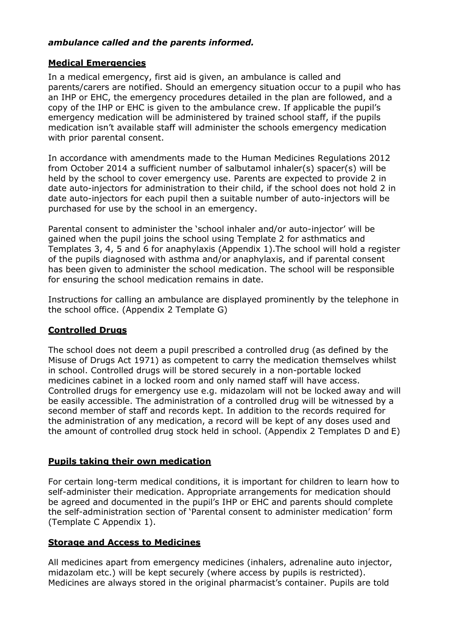#### *ambulance called and the parents informed.*

#### **Medical Emergencies**

In a medical emergency, first aid is given, an ambulance is called and parents/carers are notified. Should an emergency situation occur to a pupil who has an IHP or EHC, the emergency procedures detailed in the plan are followed, and a copy of the IHP or EHC is given to the ambulance crew. If applicable the pupil's emergency medication will be administered by trained school staff, if the pupils medication isn't available staff will administer the schools emergency medication with prior parental consent.

In accordance with amendments made to the Human Medicines Regulations 2012 from October 2014 a sufficient number of salbutamol inhaler(s) spacer(s) will be held by the school to cover emergency use. Parents are expected to provide 2 in date auto-injectors for administration to their child, if the school does not hold 2 in date auto-injectors for each pupil then a suitable number of auto-injectors will be purchased for use by the school in an emergency.

Parental consent to administer the 'school inhaler and/or auto-injector' will be gained when the pupil joins the school using Template 2 for asthmatics and Templates 3, 4, 5 and 6 for anaphylaxis (Appendix 1).The school will hold a register of the pupils diagnosed with asthma and/or anaphylaxis, and if parental consent has been given to administer the school medication. The school will be responsible for ensuring the school medication remains in date.

Instructions for calling an ambulance are displayed prominently by the telephone in the school office. (Appendix 2 Template G)

## **Controlled Drugs**

The school does not deem a pupil prescribed a controlled drug (as defined by the Misuse of Drugs Act 1971) as competent to carry the medication themselves whilst in school. Controlled drugs will be stored securely in a non-portable locked medicines cabinet in a locked room and only named staff will have access. Controlled drugs for emergency use e.g. midazolam will not be locked away and will be easily accessible. The administration of a controlled drug will be witnessed by a second member of staff and records kept. In addition to the records required for the administration of any medication, a record will be kept of any doses used and the amount of controlled drug stock held in school. (Appendix 2 Templates D and E)

## **Pupils taking their own medication**

For certain long-term medical conditions, it is important for children to learn how to self-administer their medication. Appropriate arrangements for medication should be agreed and documented in the pupil's IHP or EHC and parents should complete the self-administration section of 'Parental consent to administer medication' form (Template C Appendix 1).

## **Storage and Access to Medicines**

All medicines apart from emergency medicines (inhalers, adrenaline auto injector, midazolam etc.) will be kept securely (where access by pupils is restricted). Medicines are always stored in the original pharmacist's container. Pupils are told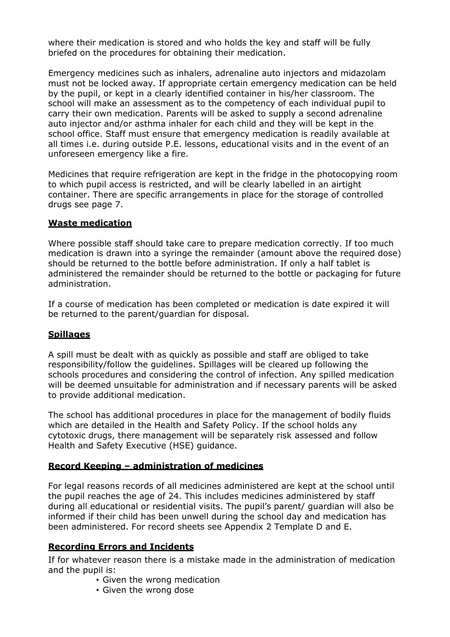where their medication is stored and who holds the key and staff will be fully briefed on the procedures for obtaining their medication.

Emergency medicines such as inhalers, adrenaline auto injectors and midazolam must not be locked away. If appropriate certain emergency medication can be held by the pupil, or kept in a clearly identified container in his/her classroom. The school will make an assessment as to the competency of each individual pupil to carry their own medication. Parents will be asked to supply a second adrenaline auto injector and/or asthma inhaler for each child and they will be kept in the school office. Staff must ensure that emergency medication is readily available at all times i.e. during outside P.E. lessons, educational visits and in the event of an unforeseen emergency like a fire.

Medicines that require refrigeration are kept in the fridge in the photocopying room to which pupil access is restricted, and will be clearly labelled in an airtight container. There are specific arrangements in place for the storage of controlled drugs see page 7.

#### **Waste medication**

Where possible staff should take care to prepare medication correctly. If too much medication is drawn into a syringe the remainder (amount above the required dose) should be returned to the bottle before administration. If only a half tablet is administered the remainder should be returned to the bottle or packaging for future administration.

If a course of medication has been completed or medication is date expired it will be returned to the parent/guardian for disposal.

## **Spillages**

A spill must be dealt with as quickly as possible and staff are obliged to take responsibility/follow the guidelines. Spillages will be cleared up following the schools procedures and considering the control of infection. Any spilled medication will be deemed unsuitable for administration and if necessary parents will be asked to provide additional medication.

The school has additional procedures in place for the management of bodily fluids which are detailed in the Health and Safety Policy. If the school holds any cytotoxic drugs, there management will be separately risk assessed and follow Health and Safety Executive (HSE) guidance.

## **Record Keeping – administration of medicines**

For legal reasons records of all medicines administered are kept at the school until the pupil reaches the age of 24. This includes medicines administered by staff during all educational or residential visits. The pupil's parent/ guardian will also be informed if their child has been unwell during the school day and medication has been administered. For record sheets see Appendix 2 Template D and E.

## **Recording Errors and Incidents**

If for whatever reason there is a mistake made in the administration of medication and the pupil is:

- Given the wrong medication
- Given the wrong dose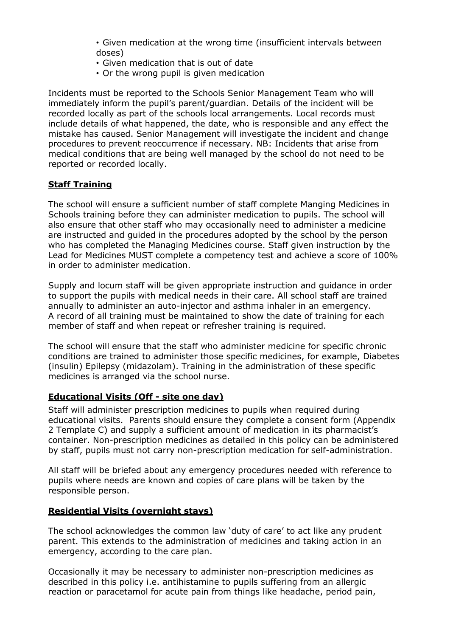• Given medication at the wrong time (insufficient intervals between doses)

- Given medication that is out of date
- Or the wrong pupil is given medication

Incidents must be reported to the Schools Senior Management Team who will immediately inform the pupil's parent/guardian. Details of the incident will be recorded locally as part of the schools local arrangements. Local records must include details of what happened, the date, who is responsible and any effect the mistake has caused. Senior Management will investigate the incident and change procedures to prevent reoccurrence if necessary. NB: Incidents that arise from medical conditions that are being well managed by the school do not need to be reported or recorded locally.

# **Staff Training**

The school will ensure a sufficient number of staff complete Manging Medicines in Schools training before they can administer medication to pupils. The school will also ensure that other staff who may occasionally need to administer a medicine are instructed and guided in the procedures adopted by the school by the person who has completed the Managing Medicines course. Staff given instruction by the Lead for Medicines MUST complete a competency test and achieve a score of 100% in order to administer medication.

Supply and locum staff will be given appropriate instruction and guidance in order to support the pupils with medical needs in their care. All school staff are trained annually to administer an auto-injector and asthma inhaler in an emergency. A record of all training must be maintained to show the date of training for each member of staff and when repeat or refresher training is required.

The school will ensure that the staff who administer medicine for specific chronic conditions are trained to administer those specific medicines, for example, Diabetes (insulin) Epilepsy (midazolam). Training in the administration of these specific medicines is arranged via the school nurse.

## **Educational Visits (Off - site one day)**

Staff will administer prescription medicines to pupils when required during educational visits. Parents should ensure they complete a consent form (Appendix 2 Template C) and supply a sufficient amount of medication in its pharmacist's container. Non-prescription medicines as detailed in this policy can be administered by staff, pupils must not carry non-prescription medication for self-administration.

All staff will be briefed about any emergency procedures needed with reference to pupils where needs are known and copies of care plans will be taken by the responsible person.

## **Residential Visits (overnight stays)**

The school acknowledges the common law 'duty of care' to act like any prudent parent. This extends to the administration of medicines and taking action in an emergency, according to the care plan.

Occasionally it may be necessary to administer non-prescription medicines as described in this policy i.e. antihistamine to pupils suffering from an allergic reaction or paracetamol for acute pain from things like headache, period pain,